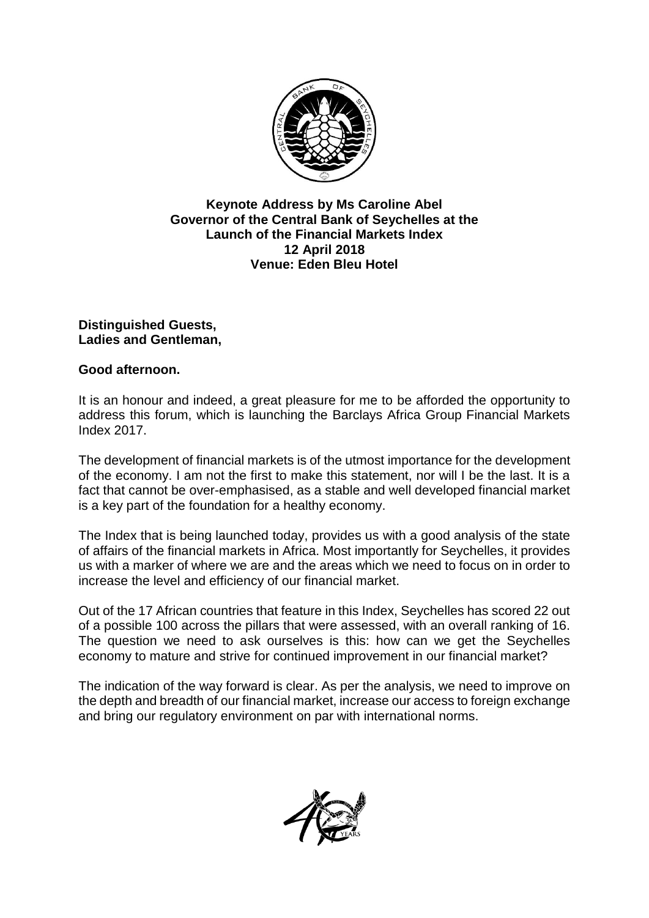

## **Keynote Address by Ms Caroline Abel Governor of the Central Bank of Seychelles at the Launch of the Financial Markets Index 12 April 2018 Venue: Eden Bleu Hotel**

## **Distinguished Guests, Ladies and Gentleman,**

## **Good afternoon.**

It is an honour and indeed, a great pleasure for me to be afforded the opportunity to address this forum, which is launching the Barclays Africa Group Financial Markets Index 2017.

The development of financial markets is of the utmost importance for the development of the economy. I am not the first to make this statement, nor will I be the last. It is a fact that cannot be over-emphasised, as a stable and well developed financial market is a key part of the foundation for a healthy economy.

The Index that is being launched today, provides us with a good analysis of the state of affairs of the financial markets in Africa. Most importantly for Seychelles, it provides us with a marker of where we are and the areas which we need to focus on in order to increase the level and efficiency of our financial market.

Out of the 17 African countries that feature in this Index, Seychelles has scored 22 out of a possible 100 across the pillars that were assessed, with an overall ranking of 16. The question we need to ask ourselves is this: how can we get the Seychelles economy to mature and strive for continued improvement in our financial market?

The indication of the way forward is clear. As per the analysis, we need to improve on the depth and breadth of our financial market, increase our access to foreign exchange and bring our regulatory environment on par with international norms.